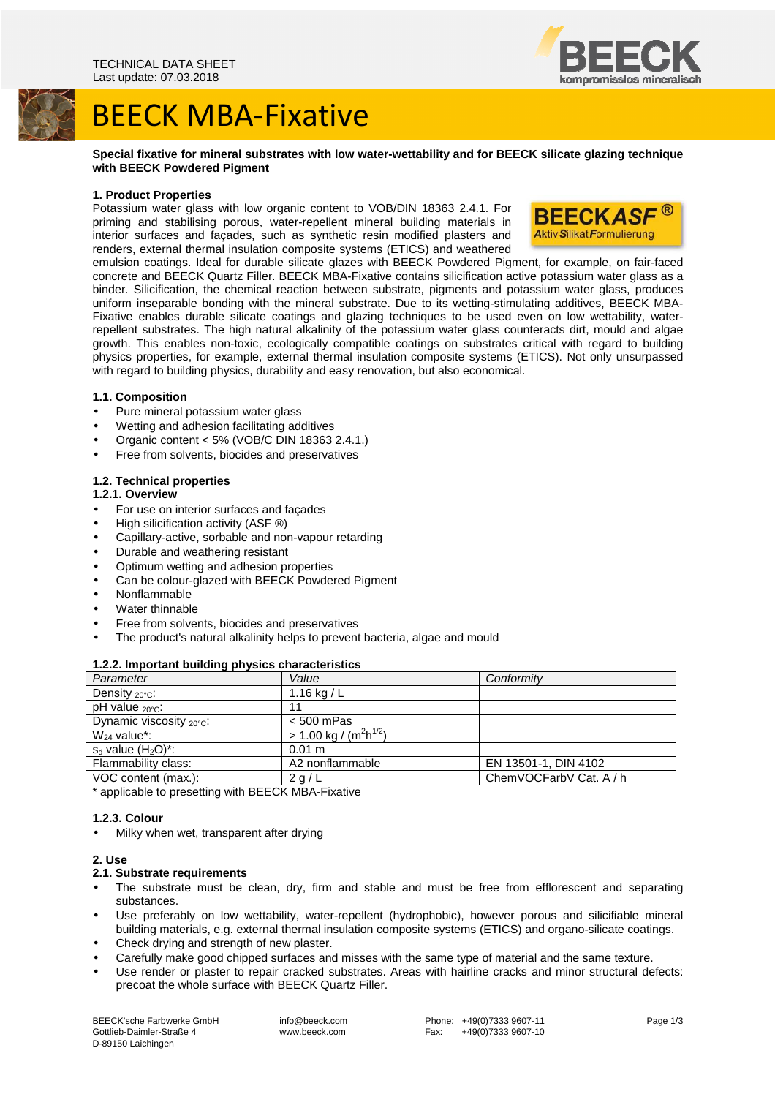# BEECK MBA-Fixative

# **Special fixative for mineral substrates with low water-wettability and for BEECK silicate glazing technique with BEECK Powdered Pigment**

# **1. Product Properties**

Potassium water glass with low organic content to VOB/DIN 18363 2.4.1. For priming and stabilising porous, water-repellent mineral building materials in interior surfaces and façades, such as synthetic resin modified plasters and renders, external thermal insulation composite systems (ETICS) and weathered



emulsion coatings. Ideal for durable silicate glazes with BEECK Powdered Pigment, for example, on fair-faced concrete and BEECK Quartz Filler. BEECK MBA-Fixative contains silicification active potassium water glass as a binder. Silicification, the chemical reaction between substrate, pigments and potassium water glass, produces uniform inseparable bonding with the mineral substrate. Due to its wetting-stimulating additives, BEECK MBA-Fixative enables durable silicate coatings and glazing techniques to be used even on low wettability, waterrepellent substrates. The high natural alkalinity of the potassium water glass counteracts dirt, mould and algae growth. This enables non-toxic, ecologically compatible coatings on substrates critical with regard to building physics properties, for example, external thermal insulation composite systems (ETICS). Not only unsurpassed with regard to building physics, durability and easy renovation, but also economical.

# **1.1. Composition**

- Pure mineral potassium water glass
- Wetting and adhesion facilitating additives
- Organic content < 5% (VOB/C DIN 18363 2.4.1.)
- Free from solvents, biocides and preservatives

# **1.2. Technical properties**

# **1.2.1. Overview**

- For use on interior surfaces and façades
- High silicification activity (ASF ®)
- Capillary-active, sorbable and non-vapour retarding
- Durable and weathering resistant
- Optimum wetting and adhesion properties
- Can be colour-glazed with BEECK Powdered Pigment
- Nonflammable
- Water thinnable
- Free from solvents, biocides and preservatives
- The product's natural alkalinity helps to prevent bacteria, algae and mould

# **1.2.2. Important building physics characteristics**

| Parameter                  | Value                              | Conformity              |
|----------------------------|------------------------------------|-------------------------|
| Density $_{20^{\circ}C}$ : | 1.16 kg / L                        |                         |
| pH value $_{20\degree}$ C: | 11                                 |                         |
| Dynamic viscosity 20°C:    | $< 500$ mPas                       |                         |
| $W_{24}$ value*:           | > 1.00 kg / $\sqrt{(m^2 h^{1/2})}$ |                         |
| $s_d$ value $(H_2O)^*$ :   | 0.01 m                             |                         |
| Flammability class:        | A2 nonflammable                    | EN 13501-1, DIN 4102    |
| VOC content (max.):        | 2 g/L                              | ChemVOCFarbV Cat. A / h |

\* applicable to presetting with BEECK MBA-Fixative

# **1.2.3. Colour**

• Milky when wet, transparent after drying

# **2. Use**

# **2.1. Substrate requirements**

- The substrate must be clean, dry, firm and stable and must be free from efflorescent and separating substances.
- Use preferably on low wettability, water-repellent (hydrophobic), however porous and silicifiable mineral building materials, e.g. external thermal insulation composite systems (ETICS) and organo-silicate coatings.
- Check drying and strength of new plaster.
- Carefully make good chipped surfaces and misses with the same type of material and the same texture.
- Use render or plaster to repair cracked substrates. Areas with hairline cracks and minor structural defects: precoat the whole surface with BEECK Quartz Filler.



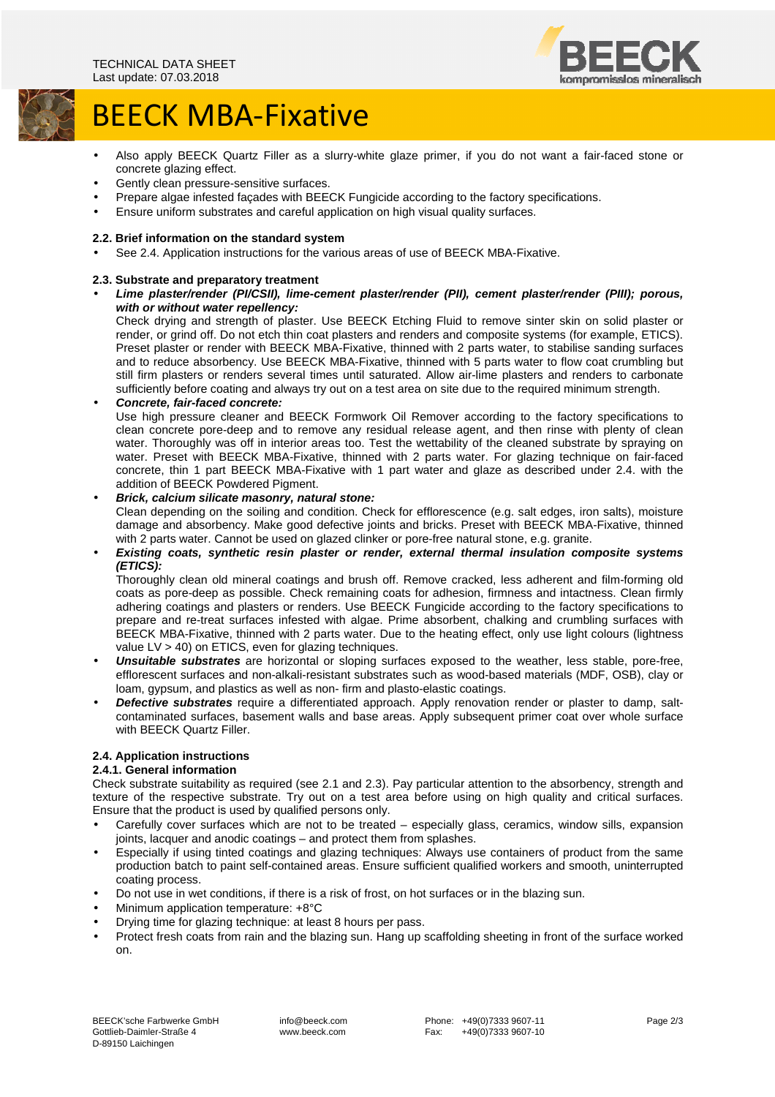

# BEECK MBA-Fixative

- Also apply BEECK Quartz Filler as a slurry-white glaze primer, if you do not want a fair-faced stone or concrete glazing effect.
- Gently clean pressure-sensitive surfaces.
- Prepare algae infested façades with BEECK Fungicide according to the factory specifications.
- Ensure uniform substrates and careful application on high visual quality surfaces.

# **2.2. Brief information on the standard system**

• See 2.4. Application instructions for the various areas of use of BEECK MBA-Fixative.

# **2.3. Substrate and preparatory treatment**

• **Lime plaster/render (PI/CSII), lime-cement plaster/render (PII), cement plaster/render (PIII); porous,**  with or without water repellency:

Check drying and strength of plaster. Use BEECK Etching Fluid to remove sinter skin on solid plaster or render, or grind off. Do not etch thin coat plasters and renders and composite systems (for example, ETICS). Preset plaster or render with BEECK MBA-Fixative, thinned with 2 parts water, to stabilise sanding surfaces and to reduce absorbency. Use BEECK MBA-Fixative, thinned with 5 parts water to flow coat crumbling but still firm plasters or renders several times until saturated. Allow air-lime plasters and renders to carbonate sufficiently before coating and always try out on a test area on site due to the required minimum strength.

# • **Concrete, fair-faced concrete:**

Use high pressure cleaner and BEECK Formwork Oil Remover according to the factory specifications to clean concrete pore-deep and to remove any residual release agent, and then rinse with plenty of clean water. Thoroughly was off in interior areas too. Test the wettability of the cleaned substrate by spraying on water. Preset with BEECK MBA-Fixative, thinned with 2 parts water. For glazing technique on fair-faced concrete, thin 1 part BEECK MBA-Fixative with 1 part water and glaze as described under 2.4. with the addition of BEECK Powdered Pigment.

# • **Brick, calcium silicate masonry, natural stone:**

Clean depending on the soiling and condition. Check for efflorescence (e.g. salt edges, iron salts), moisture damage and absorbency. Make good defective joints and bricks. Preset with BEECK MBA-Fixative, thinned with 2 parts water. Cannot be used on glazed clinker or pore-free natural stone, e.g. granite.

• **Existing coats, synthetic resin plaster or render, external thermal insulation composite systems (ETICS):** 

Thoroughly clean old mineral coatings and brush off. Remove cracked, less adherent and film-forming old coats as pore-deep as possible. Check remaining coats for adhesion, firmness and intactness. Clean firmly adhering coatings and plasters or renders. Use BEECK Fungicide according to the factory specifications to prepare and re-treat surfaces infested with algae. Prime absorbent, chalking and crumbling surfaces with BEECK MBA-Fixative, thinned with 2 parts water. Due to the heating effect, only use light colours (lightness value LV > 40) on ETICS, even for glazing techniques.

- **Unsuitable substrates** are horizontal or sloping surfaces exposed to the weather, less stable, pore-free, efflorescent surfaces and non-alkali-resistant substrates such as wood-based materials (MDF, OSB), clay or loam, gypsum, and plastics as well as non- firm and plasto-elastic coatings.
- **Defective substrates** require a differentiated approach. Apply renovation render or plaster to damp, saltcontaminated surfaces, basement walls and base areas. Apply subsequent primer coat over whole surface with BEECK Quartz Filler.

# **2.4. Application instructions**

# **2.4.1. General information**

Check substrate suitability as required (see 2.1 and 2.3). Pay particular attention to the absorbency, strength and texture of the respective substrate. Try out on a test area before using on high quality and critical surfaces. Ensure that the product is used by qualified persons only.

- Carefully cover surfaces which are not to be treated especially glass, ceramics, window sills, expansion joints, lacquer and anodic coatings – and protect them from splashes.
- Especially if using tinted coatings and glazing techniques: Always use containers of product from the same production batch to paint self-contained areas. Ensure sufficient qualified workers and smooth, uninterrupted coating process.
- Do not use in wet conditions, if there is a risk of frost, on hot surfaces or in the blazing sun.
- Minimum application temperature: +8°C
- Drying time for glazing technique: at least 8 hours per pass.
- Protect fresh coats from rain and the blazing sun. Hang up scaffolding sheeting in front of the surface worked on.